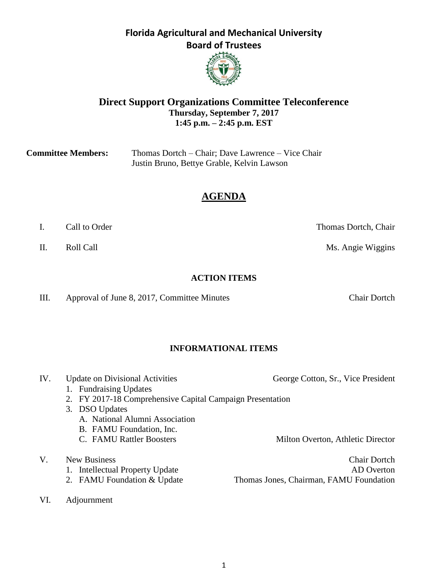#### 1

## **Florida Agricultural and Mechanical University Board of Trustees**



| <b>Committee Members:</b> | Thomas Dortch – Chair; Dave Lawrence – Vice Chair |  |
|---------------------------|---------------------------------------------------|--|
|                           | Justin Bruno, Bettye Grable, Kelvin Lawson        |  |

# **AGENDA**

| Call to Order |  |
|---------------|--|
|               |  |

### **ACTION ITEMS**

III. Approval of June 8, 2017, Committee Minutes Chair Dortch

## **INFORMATIONAL ITEMS**

1. Fundraising Updates 2. FY 2017-18 Comprehensive Capital Campaign Presentation 3. DSO Updates A. National Alumni Association B. FAMU Foundation, Inc. C. FAMU Rattler Boosters Milton Overton, Athletic Director V. New Business Chair Dortch 1. Intellectual Property Update AD Overton

- 
- VI. Adjournment

Thomas Dortch, Chair

II. Roll Call **Call Call** Ms. Angie Wiggins

IV. Update on Divisional Activities George Cotton, Sr., Vice President

2. FAMU Foundation & Update Thomas Jones, Chairman, FAMU Foundation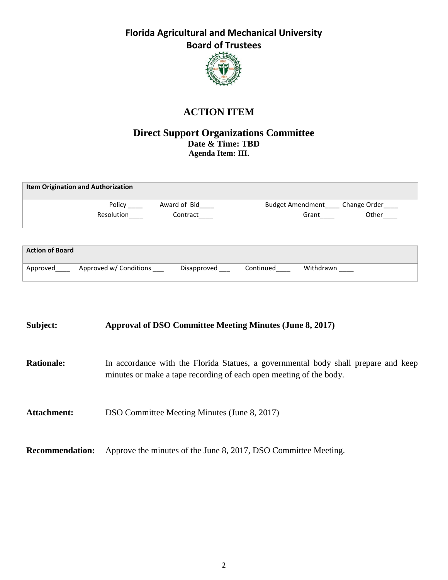

# **ACTION ITEM**

### **Direct Support Organizations Committee Date & Time: TBD Agenda Item: III.**

|                        | <b>Item Origination and Authorization</b> |              |                         |           |              |
|------------------------|-------------------------------------------|--------------|-------------------------|-----------|--------------|
|                        | Policy                                    | Award of Bid | <b>Budget Amendment</b> |           | Change Order |
|                        | Resolution                                | Contract     |                         | Grant     | Other        |
|                        |                                           |              |                         |           |              |
| <b>Action of Board</b> |                                           |              |                         |           |              |
| Approved               | Approved w/ Conditions                    | Disapproved  | Continued               | Withdrawn |              |

| Subject:               | <b>Approval of DSO Committee Meeting Minutes (June 8, 2017)</b>                                                                                          |
|------------------------|----------------------------------------------------------------------------------------------------------------------------------------------------------|
| <b>Rationale:</b>      | In accordance with the Florida Statues, a governmental body shall prepare and keep<br>minutes or make a tape recording of each open meeting of the body. |
| Attachment:            | DSO Committee Meeting Minutes (June 8, 2017)                                                                                                             |
| <b>Recommendation:</b> | Approve the minutes of the June 8, 2017, DSO Committee Meeting.                                                                                          |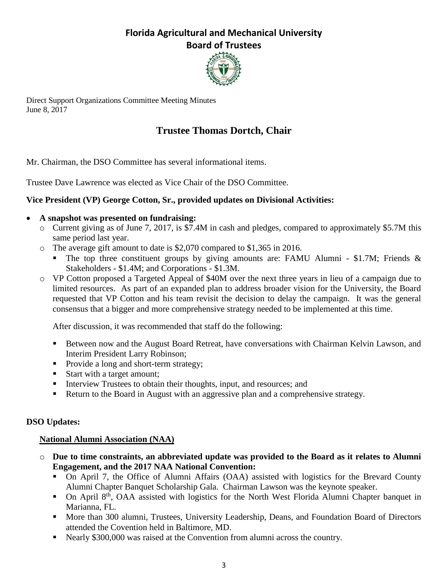

Direct Support Organizations Committee Meeting Minutes June 8, 2017

# **Trustee Thomas Dortch, Chair**

Mr. Chairman, the DSO Committee has several informational items.

Trustee Dave Lawrence was elected as Vice Chair of the DSO Committee.

## **Vice President (VP) George Cotton, Sr., provided updates on Divisional Activities:**

### **A snapshot was presented on fundraising:**

- o Current giving as of June 7, 2017, is \$7.4M in cash and pledges, compared to approximately \$5.7M this same period last year.
- o The average gift amount to date is \$2,070 compared to \$1,365 in 2016.
	- The top three constituent groups by giving amounts are: FAMU Alumni \$1.7M; Friends & Stakeholders - \$1.4M; and Corporations - \$1.3M.
- o VP Cotton proposed a Targeted Appeal of \$40M over the next three years in lieu of a campaign due to limited resources. As part of an expanded plan to address broader vision for the University, the Board requested that VP Cotton and his team revisit the decision to delay the campaign. It was the general consensus that a bigger and more comprehensive strategy needed to be implemented at this time.

After discussion, it was recommended that staff do the following:

- **Between now and the August Board Retreat, have conversations with Chairman Kelvin Lawson, and** Interim President Larry Robinson;
- Provide a long and short-term strategy;
- Start with a target amount;
- Interview Trustees to obtain their thoughts, input, and resources; and
- Return to the Board in August with an aggressive plan and a comprehensive strategy.

## **DSO Updates:**

## **National Alumni Association (NAA)**

- o **Due to time constraints, an abbreviated update was provided to the Board as it relates to Alumni Engagement, and the 2017 NAA National Convention:**
	- On April 7, the Office of Alumni Affairs (OAA) assisted with logistics for the Brevard County Alumni Chapter Banquet Scholarship Gala. Chairman Lawson was the keynote speaker.
	- $\blacksquare$  On April 8<sup>th</sup>, OAA assisted with logistics for the North West Florida Alumni Chapter banquet in Marianna, FL.
	- **More than 300 alumni, Trustees, University Leadership, Deans, and Foundation Board of Directors** attended the Covention held in Baltimore, MD.
	- Nearly \$300,000 was raised at the Convention from alumni across the country.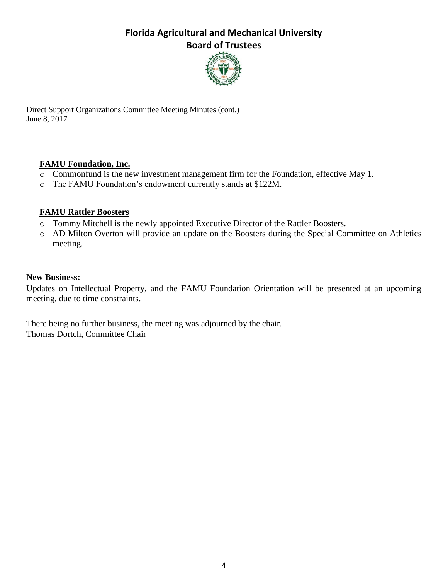

Direct Support Organizations Committee Meeting Minutes (cont.) June 8, 2017

### **FAMU Foundation, Inc.**

- o Commonfund is the new investment management firm for the Foundation, effective May 1.
- o The FAMU Foundation's endowment currently stands at \$122M.

### **FAMU Rattler Boosters**

- o Tommy Mitchell is the newly appointed Executive Director of the Rattler Boosters.
- o AD Milton Overton will provide an update on the Boosters during the Special Committee on Athletics meeting.

### **New Business:**

Updates on Intellectual Property, and the FAMU Foundation Orientation will be presented at an upcoming meeting, due to time constraints.

There being no further business, the meeting was adjourned by the chair. Thomas Dortch, Committee Chair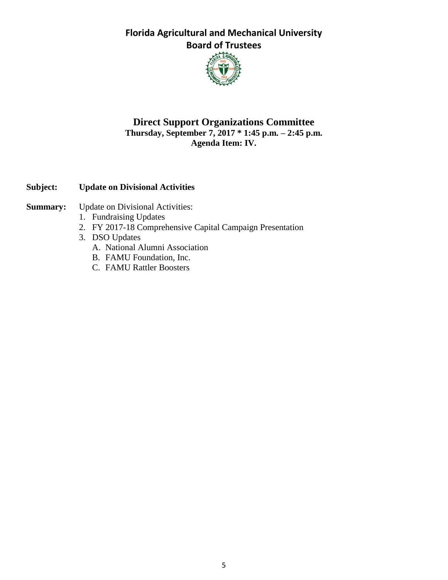

## **Direct Support Organizations Committee Thursday, September 7, 2017 \* 1:45 p.m. – 2:45 p.m. Agenda Item: IV.**

## **Subject: Update on Divisional Activities**

- **Summary:** Update on Divisional Activities:
	- 1. Fundraising Updates
	- 2. FY 2017-18 Comprehensive Capital Campaign Presentation
	- 3. DSO Updates
		- A. National Alumni Association
		- B. FAMU Foundation, Inc.
		- C. FAMU Rattler Boosters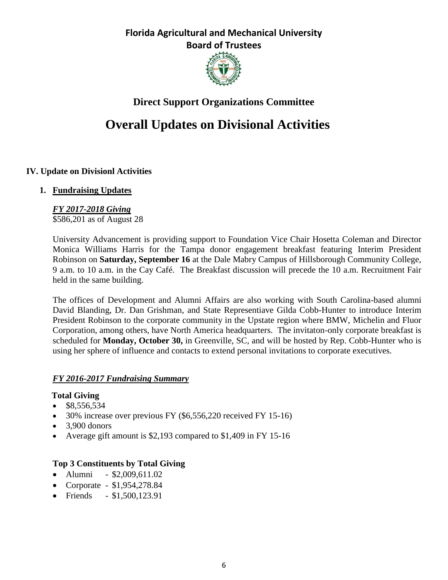

# **Direct Support Organizations Committee**

# **Overall Updates on Divisional Activities**

## **IV. Update on Divisionl Activities**

### **1. Fundraising Updates**

### *FY 2017-2018 Giving* \$586,201 as of August 28

University Advancement is providing support to Foundation Vice Chair Hosetta Coleman and Director Monica Williams Harris for the Tampa donor engagement breakfast featuring Interim President Robinson on **Saturday, September 16** at the Dale Mabry Campus of Hillsborough Community College, 9 a.m. to 10 a.m. in the Cay Café. The Breakfast discussion will precede the 10 a.m. Recruitment Fair held in the same building.

The offices of Development and Alumni Affairs are also working with South Carolina-based alumni David Blanding, Dr. Dan Grishman, and State Representiave Gilda Cobb-Hunter to introduce Interim President Robinson to the corporate community in the Upstate region where BMW, Michelin and Fluor Corporation, among others, have North America headquarters. The invitaton-only corporate breakfast is scheduled for **Monday, October 30,** in Greenville, SC, and will be hosted by Rep. Cobb-Hunter who is using her sphere of influence and contacts to extend personal invitations to corporate executives.

## *FY 2016-2017 Fundraising Summary*

### **Total Giving**

- $\bullet$  \$8,556,534
- $\bullet$  30% increase over previous FY (\$6,556,220 received FY 15-16)
- $\bullet$  3,900 donors
- Average gift amount is \$2,193 compared to \$1,409 in FY 15-16

## **Top 3 Constituents by Total Giving**

- Alumni \$2,009,611.02
- Corporate \$1,954,278.84
- Friends \$1,500,123.91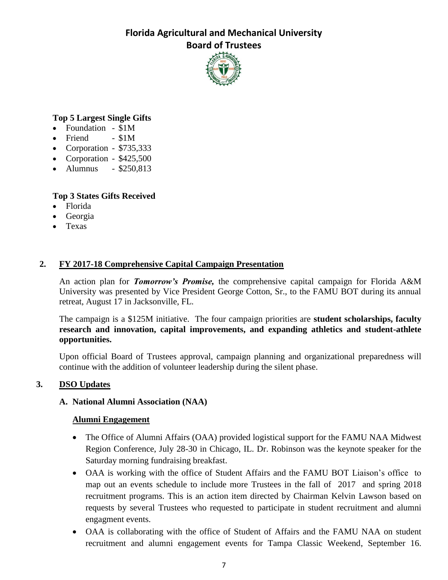

### **Top 5 Largest Single Gifts**

- Foundation \$1M
- $\bullet$  Friend \$1M
- Corporation  $$735,333$
- Corporation  $$425,500$
- Alumnus \$250,813

### **Top 3 States Gifts Received**

- Florida
- Georgia
- Texas

### **2. FY 2017-18 Comprehensive Capital Campaign Presentation**

An action plan for *Tomorrow's Promise,* the comprehensive capital campaign for Florida A&M University was presented by Vice President George Cotton, Sr., to the FAMU BOT during its annual retreat, August 17 in Jacksonville, FL.

The campaign is a \$125M initiative. The four campaign priorities are **student scholarships, faculty research and innovation, capital improvements, and expanding athletics and student-athlete opportunities.**

Upon official Board of Trustees approval, campaign planning and organizational preparedness will continue with the addition of volunteer leadership during the silent phase.

## **3. DSO Updates**

### **A. National Alumni Association (NAA)**

### **Alumni Engagement**

- The Office of Alumni Affairs (OAA) provided logistical support for the FAMU NAA Midwest Region Conference, July 28-30 in Chicago, IL. Dr. Robinson was the keynote speaker for the Saturday morning fundraising breakfast.
- OAA is working with the office of Student Affairs and the FAMU BOT Liaison's office to map out an events schedule to include more Trustees in the fall of 2017 and spring 2018 recruitment programs. This is an action item directed by Chairman Kelvin Lawson based on requests by several Trustees who requested to participate in student recruitment and alumni engagment events.
- OAA is collaborating with the office of Student of Affairs and the FAMU NAA on student recruitment and alumni engagement events for Tampa Classic Weekend, September 16.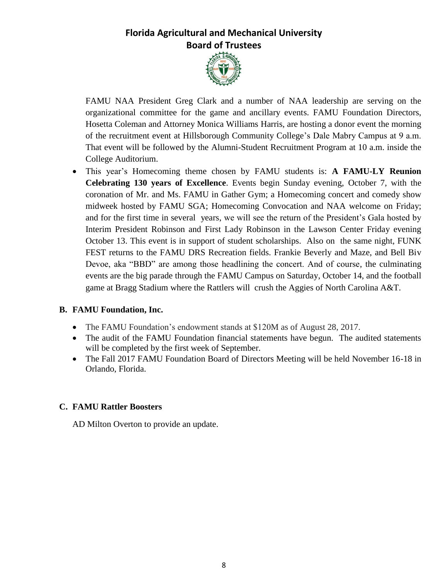

FAMU NAA President Greg Clark and a number of NAA leadership are serving on the organizational committee for the game and ancillary events. FAMU Foundation Directors, Hosetta Coleman and Attorney Monica Williams Harris, are hosting a donor event the morning of the recruitment event at Hillsborough Community College's Dale Mabry Campus at 9 a.m. That event will be followed by the Alumni-Student Recruitment Program at 10 a.m. inside the College Auditorium.

 This year's Homecoming theme chosen by FAMU students is: **A FAMU-LY Reunion Celebrating 130 years of Excellence**. Events begin Sunday evening, October 7, with the coronation of Mr. and Ms. FAMU in Gather Gym; a Homecoming concert and comedy show midweek hosted by FAMU SGA; Homecoming Convocation and NAA welcome on Friday; and for the first time in several years, we will see the return of the President's Gala hosted by Interim President Robinson and First Lady Robinson in the Lawson Center Friday evening October 13. This event is in support of student scholarships. Also on the same night, FUNK FEST returns to the FAMU DRS Recreation fields. Frankie Beverly and Maze, and Bell Biv Devoe, aka "BBD" are among those headlining the concert. And of course, the culminating events are the big parade through the FAMU Campus on Saturday, October 14, and the football game at Bragg Stadium where the Rattlers will crush the Aggies of North Carolina A&T.

### **B. FAMU Foundation, Inc.**

- The FAMU Foundation's endowment stands at \$120M as of August 28, 2017.
- The audit of the FAMU Foundation financial statements have begun. The audited statements will be completed by the first week of September.
- The Fall 2017 FAMU Foundation Board of Directors Meeting will be held November 16-18 in Orlando, Florida.

### **C. FAMU Rattler Boosters**

AD Milton Overton to provide an update.